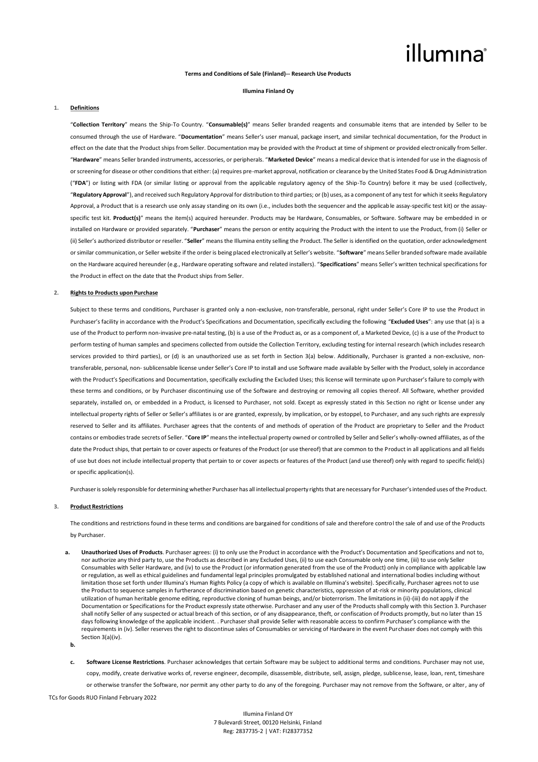# illumına

## **Terms and Conditions of Sale (Finland)-- Research Use Products**

#### **Illumina Finland Oy**

#### **1. Definitions**

"**Collection Territory**" means the Ship-To Country. "**Consumable(s)**" means Seller branded reagents and consumable items that are intended by Seller to be consumed through the use of Hardware. "**Documentation**" means Seller's user manual, package insert, and similar technical documentation, for the Product in effect on the date that the Product ships from Seller. Documentation may be provided with the Product at time of shipment or provided electronically from Seller. "**Hardware**" means Seller branded instruments, accessories, or peripherals. "**Marketed Device**" means a medical device that is intended for use in the diagnosis of or screening for disease or other conditions that either: (a) requires pre-market approval, notification or clearance by the United States Food & Drug Administration ("**FDA**") or listing with FDA (or similar listing or approval from the applicable regulatory agency of the Ship-To Country) before it may be used (collectively, "**Regulatory Approval**"), and received such Regulatory Approval for distribution to third parties; or (b) uses, as a component of any test for which it seeks Regulatory Approval, a Product that is a research use only assay standing on its own (i.e., includes both the sequencer and the applicable assay-specific test kit) or the assayspecific test kit. **Product(s)**" means the item(s) acquired hereunder. Products may be Hardware, Consumables, or Software. Software may be embedded in or installed on Hardware or provided separately. "**Purchaser**" means the person or entity acquiring the Product with the intent to use the Product, from (i) Seller or (ii) Seller's authorized distributor or reseller. "**Seller**" means the Illumina entity selling the Product. The Seller is identified on the quotation, order acknowledgment or similar communication, or Seller website if the order is being placed electronically at Seller's website. "**Software**" means Seller branded software made available on the Hardware acquired hereunder (e.g., Hardware operating software and related installers). "**Specifications**" means Seller's written technical specifications for the Product in effect on the date that the Product ships from Seller.

#### **2. Rights to Products upon Purchase**

Subject to these terms and conditions, Purchaser is granted only a non-exclusive, non-transferable, personal, right under Seller's Core IP to use the Product in Purchaser's facility in accordance with the Product's Specifications and Documentation, specifically excluding the following "**Excluded Uses**": any use that (a) is a use of the Product to perform non-invasive pre-natal testing, (b) is a use of the Product as, or as a component of, a Marketed Device, (c) is a use of the Product to perform testing of human samples and specimens collected from outside the Collection Territory, excluding testing for internal research (which includes research services provided to third parties), or (d) is an unauthorized use as set forth in Section 3(a) below. Additionally, Purchaser is granted a non-exclusive, nontransferable, personal, non- sublicensable license under Seller's Core IP to install and use Software made available by Seller with the Product, solely in accordance with the Product's Specifications and Documentation, specifically excluding the Excluded Uses; this license will terminate upon Purchaser's failure to comply with these terms and conditions, or by Purchaser discontinuing use of the Software and destroying or removing all copies thereof. All Software, whether provided separately, installed on, or embedded in a Product, is licensed to Purchaser, not sold. Except as expressly stated in this Section no right or license under any intellectual property rights of Seller or Seller's affiliates is or are granted, expressly, by implication, or by estoppel, to Purchaser, and any such rights are expressly reserved to Seller and its affiliates. Purchaser agrees that the contents of and methods of operation of the Product are proprietary to Seller and the Product contains or embodies trade secrets of Seller. "**Core IP**" means the intellectual property owned or controlled by Seller and Seller's wholly-owned affiliates, as of the date the Product ships, that pertain to or cover aspects or features of the Product (or use thereof) that are common to the Product in all applications and all fields of use but does not include intellectual property that pertain to or cover aspects or features of the Product (and use thereof) only with regard to specific field(s) or specific application(s).

Purchaser is solely responsible for determining whether Purchaser has all intellectual property rights that are necessary for Purchaser's intended uses of the Product.

#### **3. Product Restrictions**

The conditions and restrictions found in these terms and conditions are bargained for conditions of sale and therefore control the sale of and use of the Products by Purchaser.

- **a. Unauthorized Uses of Products**. Purchaser agrees: (i) to only use the Product in accordance with the Product's Documentation and Specifications and not to, nor authorize any third party to, use the Products as described in any Excluded Uses, (ii) to use each Consumable only one time, (iii) to use only Seller Consumables with Seller Hardware, and (iv) to use the Product (or information generated from the use of the Product) only in compliance with applicable law or regulation, as well as ethical guidelines and fundamental legal principles promulgated by established national and international bodies including without limitation those set forth under Illumina's Human Rights Policy (a copy of which is available on Illumina's website). Specifically, Purchaser agrees not to use the Product to sequence samples in furtherance of discrimination based on genetic characteristics, oppression of at-risk or minority populations, clinical utilization of human heritable genome editing, reproductive cloning of human beings, and/or bioterrorism. The limitations in (ii)-(iii) do not apply if the Documentation or Specifications for the Product expressly state otherwise. Purchaser and any user of the Products shall comply with this Section 3. Purchaser shall notify Seller of any suspected or actual breach of this section, or of any disappearance, theft, or confiscation of Products promptly, but no later than 15 days following knowledge of the applicable incident. . Purchaser shall provide Seller with reasonable access to confirm Purchaser's compliance with the requirements in (iv). Seller reserves the right to discontinue sales of Consumables or servicing of Hardware in the event Purchaser does not comply with this Section 3(a)(iv).
- **b.**

**c. Software License Restrictions**. Purchaser acknowledges that certain Software may be subject to additional terms and conditions. Purchaser may not use, copy, modify, create derivative works of, reverse engineer, decompile, disassemble, distribute, sell, assign, pledge, sublicense, lease, loan, rent, timeshare or otherwise transfer the Software, nor permit any other party to do any of the foregoing. Purchaser may not remove from the Software, or alter, any of

TCs for Goods RUO Finland February 2022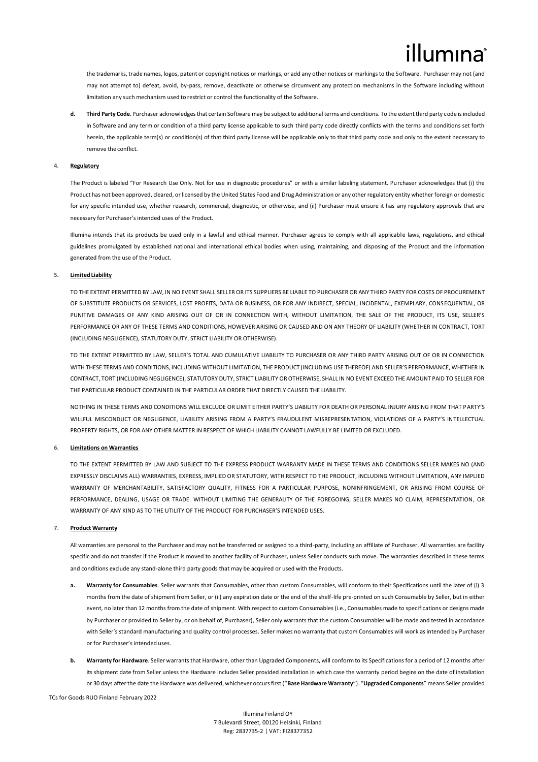the trademarks, trade names, logos, patent or copyright notices or markings, or add any other notices or markings to the Software. Purchaser may not (and may not attempt to) defeat, avoid, by-pass, remove, deactivate or otherwise circumvent any protection mechanisms in the Software including without limitation any such mechanism used to restrict or control the functionality of the Software.

**d. Third Party Code**. Purchaser acknowledges that certain Software may be subject to additional terms and conditions. To the extent third party code is included in Software and any term or condition of a third party license applicable to such third party code directly conflicts with the terms and conditions set forth herein, the applicable term(s) or condition(s) of that third party license will be applicable only to that third party code and only to the extent necessary to remove the conflict.

### **4. Regulatory**

The Product is labeled "For Research Use Only. Not for use in diagnostic procedures" or with a similar labeling statement. Purchaser acknowledges that (i) the Product has not been approved, cleared, or licensed by the United States Food and Drug Administration or any other regulatory entity whether foreign or domestic for any specific intended use, whether research, commercial, diagnostic, or otherwise, and (ii) Purchaser must ensure it has any regulatory approvals that are necessary for Purchaser's intended uses of the Product.

Illumina intends that its products be used only in a lawful and ethical manner. Purchaser agrees to comply with all applicable laws, regulations, and ethical guidelines promulgated by established national and international ethical bodies when using, maintaining, and disposing of the Product and the information generated from the use of the Product.

## **5. Limited Liability**

TO THE EXTENT PERMITTED BY LAW, IN NO EVENT SHALL SELLER OR ITS SUPPLIERS BE LIABLE TO PURCHASER OR ANY THIRD PARTY FOR COSTS OF PROCUREMENT OF SUBSTITUTE PRODUCTS OR SERVICES, LOST PROFITS, DATA OR BUSINESS, OR FOR ANY INDIRECT, SPECIAL, INCIDENTAL, EXEMPLARY, CONSEQUENTIAL, OR PUNITIVE DAMAGES OF ANY KIND ARISING OUT OF OR IN CONNECTION WITH, WITHOUT LIMITATION, THE SALE OF THE PRODUCT, ITS USE, SELLER'S PERFORMANCE OR ANY OF THESE TERMS AND CONDITIONS, HOWEVER ARISING OR CAUSED AND ON ANY THEORY OF LIABILITY (WHETHER IN CONTRACT, TORT (INCLUDING NEGLIGENCE), STATUTORY DUTY, STRICT LIABILITY OR OTHERWISE).

TO THE EXTENT PERMITTED BY LAW, SELLER'S TOTAL AND CUMULATIVE LIABILITY TO PURCHASER OR ANY THIRD PARTY ARISING OUT OF OR IN CONNECTION WITH THESE TERMS AND CONDITIONS, INCLUDING WITHOUT LIMITATION, THE PRODUCT (INCLUDING USE THEREOF) AND SELLER'S PERFORMANCE, WHETHER IN CONTRACT, TORT (INCLUDING NEGLIGENCE), STATUTORY DUTY, STRICT LIABILITY OR OTHERWISE, SHALL IN NO EVENT EXCEED THE AMOUNT PAID TO SELLER FOR THE PARTICULAR PRODUCT CONTAINED IN THE PARTICULAR ORDER THAT DIRECTLY CAUSED THE LIABILITY.

NOTHING IN THESE TERMS AND CONDITIONS WILL EXCLUDE OR LIMIT EITHER PARTY'S LIABILITY FOR DEATH OR PERSONAL INJURY ARISING FROM THAT PARTY'S WILLFUL MISCONDUCT OR NEGLIGENCE, LIABILITY ARISING FROM A PARTY'S FRAUDULENT MISREPRESENTATION, VIOLATIONS OF A PARTY'S INTELLECTUAL PROPERTY RIGHTS, OR FOR ANY OTHER MATTER IN RESPECT OF WHICH LIABILITY CANNOT LAWFULLY BE LIMITED OR EXCLUDED.

### **6. Limitations on Warranties**

TO THE EXTENT PERMITTED BY LAW AND SUBJECT TO THE EXPRESS PRODUCT WARRANTY MADE IN THESE TERMS AND CONDITIONS SELLER MAKES NO (AND EXPRESSLY DISCLAIMS ALL) WARRANTIES, EXPRESS, IMPLIED OR STATUTORY, WITH RESPECT TO THE PRODUCT, INCLUDING WITHOUT LIMITATION, ANY IMPLIED WARRANTY OF MERCHANTABILITY, SATISFACTORY QUALITY, FITNESS FOR A PARTICULAR PURPOSE, NONINFRINGEMENT, OR ARISING FROM COURSE OF PERFORMANCE, DEALING, USAGE OR TRADE. WITHOUT LIMITING THE GENERALITY OF THE FOREGOING, SELLER MAKES NO CLAIM, REPRESENTATION, OR WARRANTY OF ANY KIND AS TO THE UTILITY OF THE PRODUCT FOR PURCHASER'S INTENDED USES.

### **7. Product Warranty**

All warranties are personal to the Purchaser and may not be transferred or assigned to a third-party, including an affiliate of Purchaser. All warranties are facility specific and do not transfer if the Product is moved to another facility of Purchaser, unless Seller conducts such move. The warranties described in these terms and conditions exclude any stand-alone third party goods that may be acquired or used with the Products.

- **a. Warranty for Consumables**. Seller warrants that Consumables, other than custom Consumables, will conform to their Specifications until the later of (i) 3 months from the date of shipment from Seller, or (ii) any expiration date or the end of the shelf-life pre-printed on such Consumable by Seller, but in either event, no later than 12 months from the date of shipment. With respect to custom Consumables (i.e., Consumables made to specifications or designs made by Purchaser or provided to Seller by, or on behalf of, Purchaser), Seller only warrants that the custom Consumables will be made and tested in accordance with Seller's standard manufacturing and quality control processes. Seller makes no warranty that custom Consumables will work as intended by Purchaser or for Purchaser's intended uses.
- **b. Warranty for Hardware**. Seller warrants that Hardware, other than Upgraded Components, will conform to its Specifications for a period of 12 months after its shipment date from Seller unless the Hardware includes Seller provided installation in which case the warranty period begins on the date of installation or 30 days after the date the Hardware was delivered, whichever occurs first ("**Base Hardware Warranty**"). "**Upgraded Components**" means Seller provided

TCs for Goods RUO Finland February 2022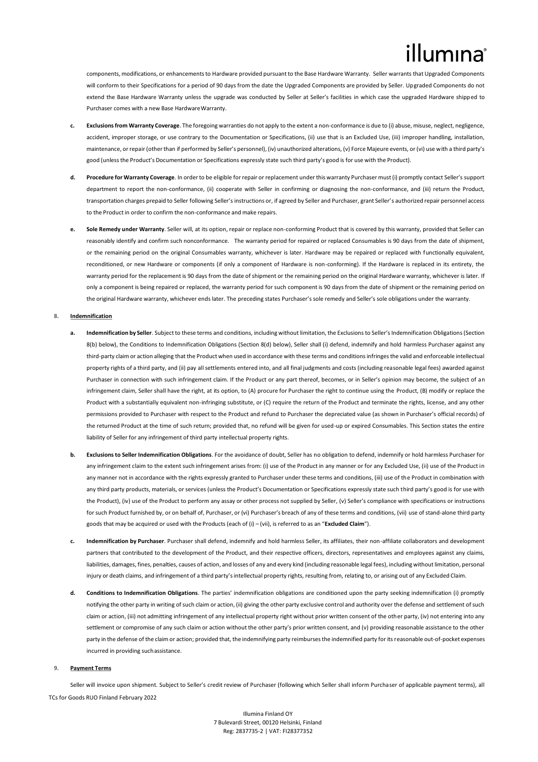components, modifications, or enhancements to Hardware provided pursuant to the Base Hardware Warranty. Seller warrants that Upgraded Components will conform to their Specifications for a period of 90 days from the date the Upgraded Components are provided by Seller. Upgraded Components do not extend the Base Hardware Warranty unless the upgrade was conducted by Seller at Seller's facilities in which case the upgraded Hardware shipped to Purchaser comes with a new Base Hardware Warranty.

- **c. Exclusions from Warranty Coverage**. The foregoing warranties do not apply to the extent a non-conformance is due to (i) abuse, misuse, neglect, negligence, accident, improper storage, or use contrary to the Documentation or Specifications, (ii) use that is an Excluded Use, (iii) improper handling, installation, maintenance, or repair (other than if performed by Seller's personnel), (iv) unauthorized alterations, (v) Force Majeure events, or (vi) use with a third party's good (unlessthe Product's Documentation or Specifications expressly state such third party's good is for use with the Product).
- **d. Procedure for Warranty Coverage**. In order to be eligible for repair or replacement under this warranty Purchaser must (i) promptly contact Seller's support department to report the non-conformance, (ii) cooperate with Seller in confirming or diagnosing the non-conformance, and (iii) return the Product, transportation charges prepaid to Seller following Seller's instructions or, if agreed by Seller and Purchaser, grant Seller's authorized repair personnel access to the Product in order to confirm the non-conformance and make repairs.
- **e. Sole Remedy under Warranty**. Seller will, at its option, repair or replace non-conforming Product that is covered by this warranty, provided that Seller can reasonably identify and confirm such nonconformance. The warranty period for repaired or replaced Consumables is 90 days from the date of shipment, or the remaining period on the original Consumables warranty, whichever is later. Hardware may be repaired or replaced with functionally equivalent, reconditioned, or new Hardware or components (if only a component of Hardware is non-conforming). If the Hardware is replaced in its entirety, the warranty period for the replacement is 90 days from the date of shipment or the remaining period on the original Hardware warranty, whichever is later. If only a component is being repaired or replaced, the warranty period for such component is 90 days from the date of shipment or the remaining period on the original Hardware warranty, whichever ends later. The preceding states Purchaser's sole remedy and Seller's sole obligations under the warranty.

#### **8. Indemnification**

- **a. Indemnification by Seller**. Subject to these terms and conditions, including without limitation, the Exclusions to Seller's Indemnification Obligations (Section 8(b) below), the Conditions to Indemnification Obligations (Section 8(d) below), Seller shall (i) defend, indemnify and hold harmless Purchaser against any third-party claim or action alleging that the Product when used in accordance with these terms and conditions infringes the valid and enforceable intellectual property rights of a third party, and (ii) pay all settlements entered into, and all final judgments and costs (including reasonable legal fees) awarded against Purchaser in connection with such infringement claim. If the Product or any part thereof, becomes, or in Seller's opinion may become, the subject of an infringement claim, Seller shall have the right, at its option, to (A) procure for Purchaser the right to continue using the Product, (B) modify or replace the Product with a substantially equivalent non-infringing substitute, or (C) require the return of the Product and terminate the rights, license, and any other permissions provided to Purchaser with respect to the Product and refund to Purchaser the depreciated value (as shown in Purchaser's official records) of the returned Product at the time of such return; provided that, no refund will be given for used-up or expired Consumables. This Section states the entire liability of Seller for any infringement of third party intellectual property rights.
- **b. Exclusions to Seller Indemnification Obligations**. For the avoidance of doubt, Seller has no obligation to defend, indemnify or hold harmless Purchaser for any infringement claim to the extent such infringement arises from: (i) use of the Product in any manner or for any Excluded Use, (ii) use of the Product in any manner not in accordance with the rights expressly granted to Purchaser under these terms and conditions, (iii) use of the Product in combination with any third party products, materials, or services (unless the Product's Documentation or Specifications expressly state such third party's good is for use with the Product), (iv) use of the Product to perform any assay or other process not supplied by Seller, (v) Seller's compliance with specifications or instructions forsuch Product furnished by, or on behalf of, Purchaser, or (vi) Purchaser's breach of any of these terms and conditions, (vii) use of stand-alone third party goods that may be acquired or used with the Products (each of (i) – (vii), is referred to as an "**Excluded Claim**").
- **c. Indemnification by Purchaser**. Purchaser shall defend, indemnify and hold harmless Seller, its affiliates, their non-affiliate collaborators and development partners that contributed to the development of the Product, and their respective officers, directors, representatives and employees against any claims, liabilities, damages, fines, penalties, causes of action, and losses of any and every kind (including reasonable legal fees), including without limitation, personal injury or death claims, and infringement of a third party's intellectual property rights, resulting from, relating to, or arising out of any Excluded Claim.
- **d. Conditions to Indemnification Obligations**. The parties' indemnification obligations are conditioned upon the party seeking indemnification (i) promptly notifying the other party in writing of such claim or action, (ii) giving the other party exclusive control and authority over the defense and settlement of such claim or action, (iii) not admitting infringement of any intellectual property right without prior written consent of the other party, (iv) not entering into any settlement or compromise of any such claim or action without the other party's prior written consent, and (v) providing reasonable assistance to the other party in the defense of the claim or action; provided that, the indemnifying party reimburses the indemnified party for its reasonable out-of-pocket expenses incurred in providing suchassistance.

# **9. Payment Terms**

TCs for Goods RUO Finland February 2022 Seller will invoice upon shipment. Subject to Seller's credit review of Purchaser (following which Seller shall inform Purchaser of applicable payment terms), all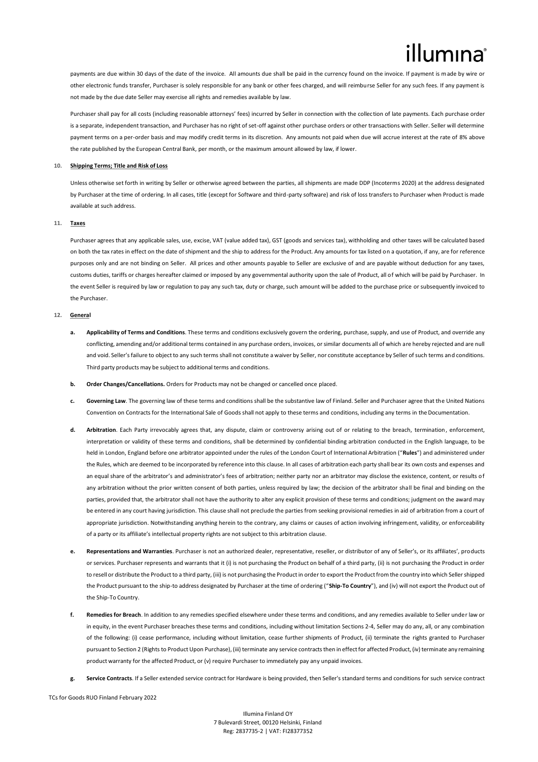payments are due within 30 days of the date of the invoice. All amounts due shall be paid in the currency found on the invoice. If payment is made by wire or other electronic funds transfer, Purchaser is solely responsible for any bank or other fees charged, and will reimburse Seller for any such fees. If any payment is not made by the due date Seller may exercise all rights and remedies available by law.

Purchaser shall pay for all costs (including reasonable attorneys' fees) incurred by Seller in connection with the collection of late payments. Each purchase order is a separate, independent transaction, and Purchaser has no right of set-off against other purchase orders or other transactions with Seller. Seller will determine payment terms on a per-order basis and may modify credit terms in its discretion. Any amounts not paid when due will accrue interest at the rate of 8% above the rate published by the European Central Bank, per month, or the maximum amount allowed by law, if lower.

#### **10. Shipping Terms; Title and Risk of Loss**

Unless otherwise set forth in writing by Seller or otherwise agreed between the parties, all shipments are made DDP (Incoterms 2020) at the address designated by Purchaser at the time of ordering. In all cases, title (except for Software and third-party software) and risk of loss transfers to Purchaser when Product is made available at such address.

### **11. Taxes**

Purchaser agrees that any applicable sales, use, excise, VAT (value added tax), GST (goods and services tax), withholding and other taxes will be calculated based on both the tax rates in effect on the date of shipment and the ship to address for the Product. Any amounts for tax listed on a quotation, if any, are for reference purposes only and are not binding on Seller. All prices and other amounts payable to Seller are exclusive of and are payable without deduction for any taxes, customs duties, tariffs or charges hereafter claimed or imposed by any governmental authority upon the sale of Product, all of which will be paid by Purchaser. In the event Seller is required by law or regulation to pay any such tax, duty or charge, such amount will be added to the purchase price or subsequently invoiced to the Purchaser.

## **12. General**

- Applicability of Terms and Conditions. These terms and conditions exclusively govern the ordering, purchase, supply, and use of Product, and override any conflicting, amending and/or additional terms contained in any purchase orders, invoices, or similar documents all of which are hereby rejected and are null and void. Seller's failure to object to any such terms shall not constitute a waiver by Seller, nor constitute acceptance by Seller of such terms and conditions. Third party products may be subject to additional terms and conditions.
- **b. Order Changes/Cancellations.** Orders for Products may not be changed or cancelled once placed.
- Governing Law. The governing law of these terms and conditions shall be the substantive law of Finland. Seller and Purchaser agree that the United Nations Convention on Contracts for the International Sale of Goods shall not apply to these terms and conditions, including any terms in theDocumentation.
- **d. Arbitration**. Each Party irrevocably agrees that, any dispute, claim or controversy arising out of or relating to the breach, termination, enforcement, interpretation or validity of these terms and conditions, shall be determined by confidential binding arbitration conducted in the English language, to be held in London, England before one arbitrator appointed under the rules of the London Court of International Arbitration ("**Rules**") and administered under the Rules, which are deemed to be incorporated by reference into this clause. In all cases of arbitration each party shall bear its own costs and expenses and an equal share of the arbitrator's and administrator's fees of arbitration; neither party nor an arbitrator may disclose the existence, content, or results of any arbitration without the prior written consent of both parties, unless required by law; the decision of the arbitrator shall be final and binding on the parties, provided that, the arbitrator shall not have the authority to alter any explicit provision of these terms and conditions; judgment on the award may be entered in any court having jurisdiction. This clause shall not preclude the parties from seeking provisional remedies in aid of arbitration from a court of appropriate jurisdiction. Notwithstanding anything herein to the contrary, any claims or causes of action involving infringement, validity, or enforceability of a party or its affiliate's intellectual property rights are not subject to this arbitration clause.
- **e. Representations and Warranties**. Purchaser is not an authorized dealer, representative, reseller, or distributor of any of Seller's, or its affiliates', products or services. Purchaser represents and warrants that it (i) is not purchasing the Product on behalf of a third party, (ii) is not purchasing the Product in order to resell or distribute the Product to a third party, (iii) is not purchasing the Product in order to export the Product from the country into which Seller shipped the Product pursuant to the ship-to address designated by Purchaser at the time of ordering ("**Ship-To Country**"), and (iv) will not export the Product out of the Ship-To Country.
- **f. Remedies for Breach**. In addition to any remedies specified elsewhere under these terms and conditions, and any remedies available to Seller under law or in equity, in the event Purchaser breaches these terms and conditions, including without limitation Sections 2-4, Seller may do any, all, or any combination of the following: (i) cease performance, including without limitation, cease further shipments of Product, (ii) terminate the rights granted to Purchaser pursuant to Section 2 (Rights to Product Upon Purchase), (iii) terminate any service contracts then in effect for affected Product, (iv) terminate any remaining product warranty for the affected Product, or (v) require Purchaser to immediately pay any unpaid invoices.
- **g. Service Contracts**. If a Seller extended service contract for Hardware is being provided, then Seller's standard terms and conditions for such service contract

TCs for Goods RUO Finland February 2022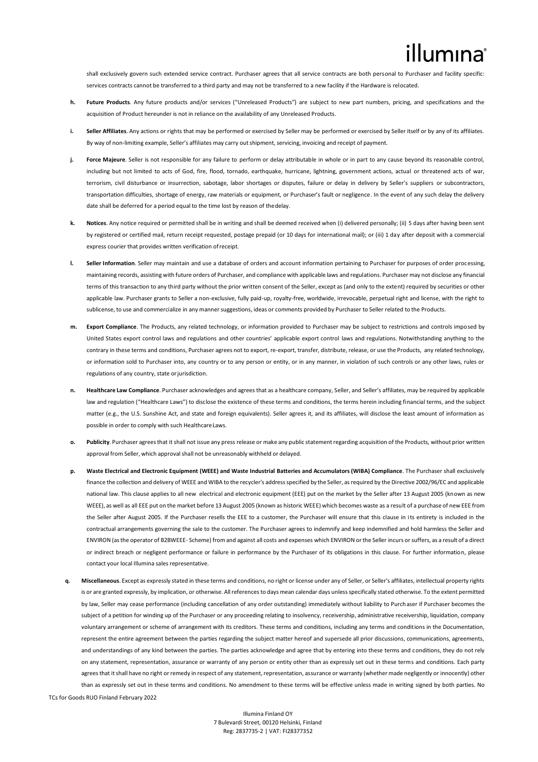# illumına

shall exclusively govern such extended service contract. Purchaser agrees that all service contracts are both personal to Purchaser and facility specific: services contracts cannot be transferred to a third party and may not be transferred to a new facility if the Hardware is relocated.

- **h. Future Products**. Any future products and/or services ("Unreleased Products") are subject to new part numbers, pricing, and specifications and the acquisition of Product hereunder is not in reliance on the availability of any Unreleased Products.
- **i. Seller Affiliates**. Any actions or rights that may be performed or exercised by Seller may be performed or exercised by Seller itself or by any of its affiliates. By way of non-limiting example, Seller's affiliates may carry outshipment, servicing, invoicing and receipt of payment.
- **j.** Force Majeure. Seller is not responsible for any failure to perform or delay attributable in whole or in part to any cause beyond its reasonable control, including but not limited to acts of God, fire, flood, tornado, earthquake, hurricane, lightning, government actions, actual or threatened acts of war, terrorism, civil disturbance or insurrection, sabotage, labor shortages or disputes, failure or delay in delivery by Seller's suppliers or subcontractors, transportation difficulties, shortage of energy, raw materials or equipment, or Purchaser's fault or negligence. In the event of any such delay the delivery date shall be deferred for a period equal to the time lost by reason of thedelay.
- **k. Notices**. Any notice required or permitted shall be in writing and shall be deemed received when (i) delivered personally; (ii) 5 days after having been sent by registered or certified mail, return receipt requested, postage prepaid (or 10 days for international mail); or (iii) 1 day after deposit with a commercial express courier that provides written verification ofreceipt.
- **l. Seller Information**. Seller may maintain and use a database of orders and account information pertaining to Purchaser for purposes of order processing, maintaining records, assisting with future orders of Purchaser, and compliance with applicable laws and regulations. Purchaser may not disclose any financial terms of this transaction to any third party without the prior written consent of the Seller, except as (and only to the extent) required by securities or other applicable law. Purchaser grants to Seller a non-exclusive, fully paid-up, royalty-free, worldwide, irrevocable, perpetual right and license, with the right to sublicense, to use and commercialize in any mannersuggestions, ideas or comments provided by Purchaser to Seller related to the Products.
- **m. Export Compliance**. The Products, any related technology, or information provided to Purchaser may be subject to restrictions and controls imposed by United States export control laws and regulations and other countries' applicable export control laws and regulations. Notwithstanding anything to the contrary in these terms and conditions, Purchaser agrees not to export, re-export, transfer, distribute, release, or use the Products, any related technology, or information sold to Purchaser into, any country or to any person or entity, or in any manner, in violation of such controls or any other laws, rules or regulations of any country, state or jurisdiction.
- **n. Healthcare Law Compliance**. Purchaser acknowledges and agrees that as a healthcare company, Seller, and Seller's affiliates, may be required by applicable law and regulation ("Healthcare Laws") to disclose the existence of these terms and conditions, the terms herein including financial terms, and the subject matter (e.g., the U.S. Sunshine Act, and state and foreign equivalents). Seller agrees it, and its affiliates, will disclose the least amount of information as possible in order to comply with such HealthcareLaws.
- **o. Publicity**. Purchaser agreesthat it shall not issue any press release or make any public statementregarding acquisition of the Products, without prior written approval from Seller, which approval shall not be unreasonably withheld or delayed.
- **p. Waste Electrical and Electronic Equipment (WEEE) and Waste Industrial Batteries and Accumulators (WIBA) Compliance**. The Purchaser shall exclusively finance the collection and delivery of WEEE and WIBA to the recycler's address specified by the Seller, as required by the Directive 2002/96/EC and applicable national law. This clause applies to all new electrical and electronic equipment (EEE) put on the market by the Seller after 13 August 2005 (known as new WEEE), as well as all EEE put on the market before 13 August 2005 (known as historic WEEE) which becomes waste as a result of a purchase of new EEE from the Seller after August 2005. If the Purchaser resells the EEE to a customer, the Purchaser will ensure that this clause in its entirety is included in the contractual arrangements governing the sale to the customer. The Purchaser agrees to indemnify and keep indemnified and hold harmless the Seller and ENVIRON (as the operator of B2BWEEE- Scheme) from and against all costs and expenses which ENVIRON or the Seller incurs or suffers, as a result of a direct or indirect breach or negligent performance or failure in performance by the Purchaser of its obligations in this clause. For further information, please contact your local Illumina sales representative.
- TCs for Goods RUO Finland February 2022 **q. Miscellaneous**. Except as expressly stated in these terms and conditions, no right or license under any of Seller, or Seller's affiliates, intellectual property rights is or are granted expressly, by implication, or otherwise. All references to days mean calendar days unless specifically stated otherwise. To the extent permitted by law, Seller may cease performance (including cancellation of any order outstanding) immediately without liability to Purchaser if Purchaser becomes the subject of a petition for winding up of the Purchaser or any proceeding relating to insolvency, receivership, administrative receivership, liquidation, company voluntary arrangement or scheme of arrangement with its creditors. These terms and conditions, including any terms and conditions in the Documentation, represent the entire agreement between the parties regarding the subject matter hereof and supersede all prior discussions, communications, agreements, and understandings of any kind between the parties. The parties acknowledge and agree that by entering into these terms and conditions, they do not rely on any statement, representation, assurance or warranty of any person or entity other than as expressly set out in these terms and conditions. Each party agrees that it shall have no right or remedy in respect of any statement, representation, assurance or warranty (whether made negligently or innocently) other than as expressly set out in these terms and conditions. No amendment to these terms will be effective unless made in writing signed by both parties. No

Illumina Finland OY 7 Bulevardi Street, 00120 Helsinki, Finland Reg: 2837735-2 | VAT: FI28377352